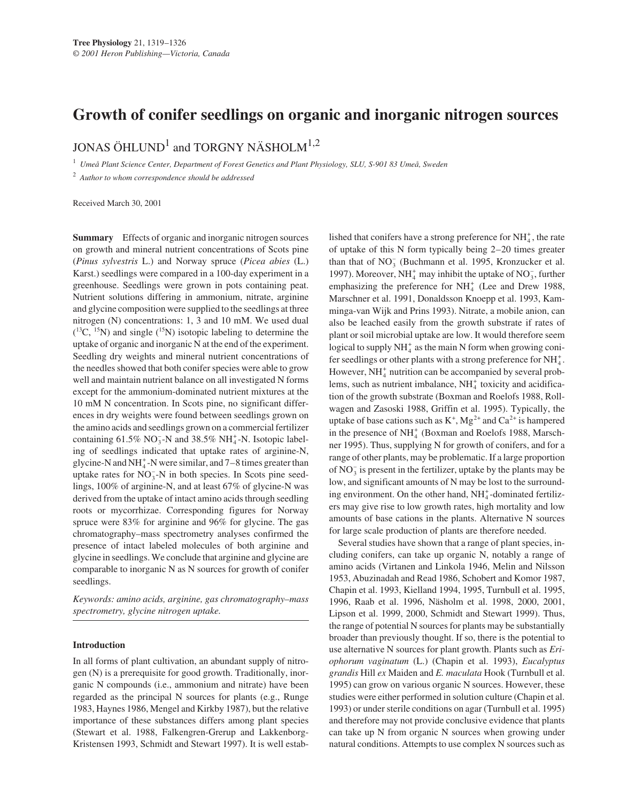# **Growth of conifer seedlings on organic and inorganic nitrogen sources**

JONAS ÖHLUND<sup>1</sup> and TORGNY NÄSHOLM<sup>1,2</sup>

<sup>1</sup> *Umeå Plant Science Center, Department of Forest Genetics and Plant Physiology, SLU, S-901 83 Umeå, Sweden*

<sup>2</sup> *Author to whom correspondence should be addressed*

Received March 30, 2001

**Summary** Effects of organic and inorganic nitrogen sources on growth and mineral nutrient concentrations of Scots pine (*Pinus sylvestris* L.) and Norway spruce (*Picea abies* (L.) Karst.) seedlings were compared in a 100-day experiment in a greenhouse. Seedlings were grown in pots containing peat. Nutrient solutions differing in ammonium, nitrate, arginine and glycine composition were supplied to the seedlings at three nitrogen (N) concentrations: 1, 3 and 10 mM. We used dual  $($ <sup>13</sup>C, <sup>15</sup>N) and single (<sup>15</sup>N) isotopic labeling to determine the uptake of organic and inorganic N at the end of the experiment. Seedling dry weights and mineral nutrient concentrations of the needles showed that both conifer species were able to grow well and maintain nutrient balance on all investigated N forms except for the ammonium-dominated nutrient mixtures at the 10 mM N concentration. In Scots pine, no significant differences in dry weights were found between seedlings grown on the amino acids and seedlings grown on a commercial fertilizer containing  $61.5\%$  NO<sub>3</sub>-N and 38.5% NH<sub>4</sub>-N. Isotopic labeling of seedlings indicated that uptake rates of arginine-N, glycine-N and  $NH_4^+$ -N were similar, and 7–8 times greater than uptake rates for  $NO_3^-$ -N in both species. In Scots pine seedlings, 100% of arginine-N, and at least 67% of glycine-N was derived from the uptake of intact amino acids through seedling roots or mycorrhizae. Corresponding figures for Norway spruce were 83% for arginine and 96% for glycine. The gas chromatography–mass spectrometry analyses confirmed the presence of intact labeled molecules of both arginine and glycine in seedlings. We conclude that arginine and glycine are comparable to inorganic N as N sources for growth of conifer seedlings.

*Keywords: amino acids, arginine, gas chromatography–mass spectrometry, glycine nitrogen uptake.*

## **Introduction**

In all forms of plant cultivation, an abundant supply of nitrogen (N) is a prerequisite for good growth. Traditionally, inorganic N compounds (i.e., ammonium and nitrate) have been regarded as the principal N sources for plants (e.g., Runge 1983, Haynes 1986, Mengel and Kirkby 1987), but the relative importance of these substances differs among plant species (Stewart et al. 1988, Falkengren-Grerup and Lakkenborg-Kristensen 1993, Schmidt and Stewart 1997). It is well estab-

lished that conifers have a strong preference for  $NH<sub>4</sub><sup>+</sup>$ , the rate of uptake of this N form typically being 2–20 times greater than that of  $NO_3^-$  (Buchmann et al. 1995, Kronzucker et al. 1997). Moreover, NH<sub>4</sub> may inhibit the uptake of NO<sub>3</sub>, further emphasizing the preference for  $NH<sub>4</sub><sup>+</sup>$  (Lee and Drew 1988, Marschner et al. 1991, Donaldsson Knoepp et al. 1993, Kamminga-van Wijk and Prins 1993). Nitrate, a mobile anion, can also be leached easily from the growth substrate if rates of plant or soil microbial uptake are low. It would therefore seem logical to supply  $NH_4^+$  as the main N form when growing conifer seedlings or other plants with a strong preference for  $NH_4^+$ . However, NH<sub>4</sub><sup>+</sup> nutrition can be accompanied by several problems, such as nutrient imbalance,  $NH<sub>4</sub><sup>+</sup>$  toxicity and acidification of the growth substrate (Boxman and Roelofs 1988, Rollwagen and Zasoski 1988, Griffin et al. 1995). Typically, the uptake of base cations such as  $K^+$ ,  $Mg^{2+}$  and  $Ca^{2+}$  is hampered in the presence of NH<sup>+</sup><sub>4</sub> (Boxman and Roelofs 1988, Marschner 1995). Thus, supplying N for growth of conifers, and for a range of other plants, may be problematic. If a large proportion of  $NO_3^-$  is present in the fertilizer, uptake by the plants may be low, and significant amounts of N may be lost to the surrounding environment. On the other hand, NH<sup>+</sup>-dominated fertilizers may give rise to low growth rates, high mortality and low amounts of base cations in the plants. Alternative N sources for large scale production of plants are therefore needed.

Several studies have shown that a range of plant species, including conifers, can take up organic N, notably a range of amino acids (Virtanen and Linkola 1946, Melin and Nilsson 1953, Abuzinadah and Read 1986, Schobert and Komor 1987, Chapin et al. 1993, Kielland 1994, 1995, Turnbull et al. 1995, 1996, Raab et al. 1996, Näsholm et al. 1998, 2000, 2001, Lipson et al. 1999, 2000, Schmidt and Stewart 1999). Thus, the range of potential N sources for plants may be substantially broader than previously thought. If so, there is the potential to use alternative N sources for plant growth. Plants such as *Eriophorum vaginatum* (L.) (Chapin et al. 1993), *Eucalyptus grandis* Hill *ex* Maiden and *E. maculata* Hook (Turnbull et al. 1995) can grow on various organic N sources. However, these studies were either performed in solution culture (Chapin et al. 1993) or under sterile conditions on agar (Turnbull et al. 1995) and therefore may not provide conclusive evidence that plants can take up N from organic N sources when growing under natural conditions. Attempts to use complex N sources such as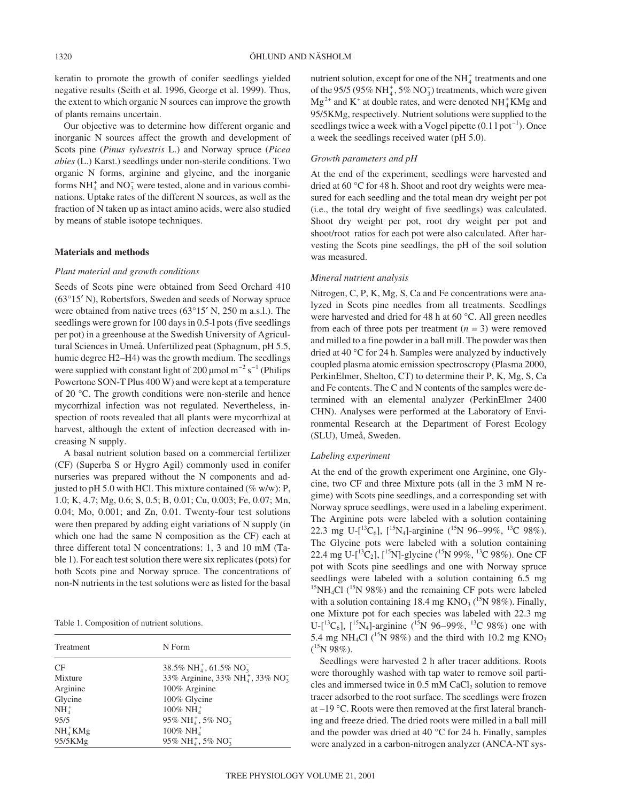keratin to promote the growth of conifer seedlings yielded negative results (Seith et al. 1996, George et al. 1999). Thus, the extent to which organic N sources can improve the growth of plants remains uncertain.

Our objective was to determine how different organic and inorganic N sources affect the growth and development of Scots pine (*Pinus sylvestris* L.) and Norway spruce (*Picea abies* (L.) Karst.) seedlings under non-sterile conditions. Two organic N forms, arginine and glycine, and the inorganic forms  $NH_4^+$  and  $NO_3^-$  were tested, alone and in various combinations. Uptake rates of the different N sources, as well as the fraction of N taken up as intact amino acids, were also studied by means of stable isotope techniques.

## **Materials and methods**

## *Plant material and growth conditions*

Seeds of Scots pine were obtained from Seed Orchard 410 (63°15′ N), Robertsfors, Sweden and seeds of Norway spruce were obtained from native trees (63°15′ N, 250 m a.s.l.). The seedlings were grown for 100 days in 0.5-l pots (five seedlings per pot) in a greenhouse at the Swedish University of Agricultural Sciences in Umeå. Unfertilized peat (Sphagnum, pH 5.5, humic degree H2–H4) was the growth medium. The seedlings were supplied with constant light of 200  $\mu$ mol m<sup>-2</sup> s<sup>-1</sup> (Philips Powertone SON-T Plus 400 W) and were kept at a temperature of 20 °C. The growth conditions were non-sterile and hence mycorrhizal infection was not regulated. Nevertheless, inspection of roots revealed that all plants were mycorrhizal at harvest, although the extent of infection decreased with increasing N supply.

A basal nutrient solution based on a commercial fertilizer (CF) (Superba S or Hygro Agil) commonly used in conifer nurseries was prepared without the N components and adjusted to pH 5.0 with HCl. This mixture contained ( $\%$  w/w): P, 1.0; K, 4.7; Mg, 0.6; S, 0.5; B, 0.01; Cu, 0.003; Fe, 0.07; Mn, 0.04; Mo, 0.001; and Zn, 0.01. Twenty-four test solutions were then prepared by adding eight variations of N supply (in which one had the same N composition as the CF) each at three different total N concentrations: 1, 3 and 10 mM (Table 1). For each test solution there were six replicates (pots) for both Scots pine and Norway spruce. The concentrations of non-N nutrients in the test solutions were as listed for the basal

Table 1. Composition of nutrient solutions.

| Treatment | N Form                                                  |
|-----------|---------------------------------------------------------|
| CF        | 38.5% NH <sub>4</sub> , 61.5% NO <sub>3</sub>           |
| Mixture   | 33% Arginine, 33% NH <sub>4</sub> , 33% NO <sub>3</sub> |
| Arginine  | 100% Arginine                                           |
| Glycine   | 100% Glycine                                            |
| $NH4+$    | $100\% \text{ NH}_4^+$                                  |
| 95/5      | 95% NH <sub>4</sub> , 5% NO <sub>3</sub>                |
| $NH4+KMg$ | $100\% \text{ NH}^+$                                    |
| 95/5KMg   | 95% NH $_4^+$ , 5% NO <sub>3</sub>                      |

nutrient solution, except for one of the  $NH<sub>4</sub><sup>+</sup>$  treatments and one of the 95/5 (95%  $NH_4^+$ , 5%  $NO_3^-$ ) treatments, which were given  $Mg^{2+}$  and  $K^+$  at double rates, and were denoted  $NH_4^+KMg$  and 95/5KMg, respectively. Nutrient solutions were supplied to the seedlings twice a week with a Vogel pipette  $(0.1 1$  pot<sup>-1</sup>). Once a week the seedlings received water (pH 5.0).

## *Growth parameters and pH*

At the end of the experiment, seedlings were harvested and dried at 60 °C for 48 h. Shoot and root dry weights were measured for each seedling and the total mean dry weight per pot (i.e., the total dry weight of five seedlings) was calculated. Shoot dry weight per pot, root dry weight per pot and shoot/root ratios for each pot were also calculated. After harvesting the Scots pine seedlings, the pH of the soil solution was measured.

## *Mineral nutrient analysis*

Nitrogen, C, P, K, Mg, S, Ca and Fe concentrations were analyzed in Scots pine needles from all treatments. Seedlings were harvested and dried for 48 h at 60 °C. All green needles from each of three pots per treatment  $(n = 3)$  were removed and milled to a fine powder in a ball mill. The powder was then dried at 40 °C for 24 h. Samples were analyzed by inductively coupled plasma atomic emission spectroscropy (Plasma 2000, PerkinElmer, Shelton, CT) to determine their P, K, Mg, S, Ca and Fe contents. The C and N contents of the samples were determined with an elemental analyzer (PerkinElmer 2400 CHN). Analyses were performed at the Laboratory of Environmental Research at the Department of Forest Ecology (SLU), Umeå, Sweden.

#### *Labeling experiment*

At the end of the growth experiment one Arginine, one Glycine, two CF and three Mixture pots (all in the 3 mM N regime) with Scots pine seedlings, and a corresponding set with Norway spruce seedlings, were used in a labeling experiment. The Arginine pots were labeled with a solution containing 22.3 mg U-[ ${}^{13}C_6$ ], [ ${}^{15}N_4$ ]-arginine ( ${}^{15}N$  96–99%,  ${}^{13}C$  98%). The Glycine pots were labeled with a solution containing 22.4 mg U- $\left[^{13}C_2\right]$ ,  $\left[^{15}N\right]$ -glycine  $\left(^{15}N\right)$  99%,  $^{13}C$  98%). One CF pot with Scots pine seedlings and one with Norway spruce seedlings were labeled with a solution containing 6.5 mg  $15NH_4Cl$  ( $15N$  98%) and the remaining CF pots were labeled with a solution containing 18.4 mg  $KNO<sub>3</sub>$  (<sup>15</sup>N 98%). Finally, one Mixture pot for each species was labeled with 22.3 mg U-[ ${}^{13}C_6$ ],  $[{}^{15}N_4]$ -arginine  $({}^{15}N_596-99\%, {}^{13}C_598\%)$  one with 5.4 mg NH<sub>4</sub>Cl (<sup>15</sup>N 98%) and the third with 10.2 mg KNO<sub>3</sub>  $(^{15}N98\%).$ 

Seedlings were harvested 2 h after tracer additions. Roots were thoroughly washed with tap water to remove soil particles and immersed twice in  $0.5$  mM CaCl<sub>2</sub> solution to remove tracer adsorbed to the root surface. The seedlings were frozen at –19 °C. Roots were then removed at the first lateral branching and freeze dried. The dried roots were milled in a ball mill and the powder was dried at 40 °C for 24 h. Finally, samples were analyzed in a carbon-nitrogen analyzer (ANCA-NT sys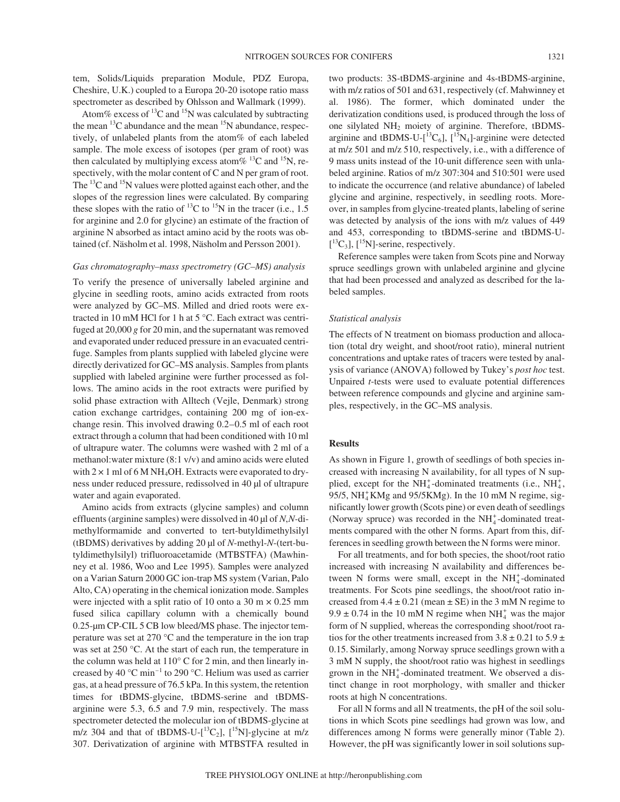tem, Solids/Liquids preparation Module, PDZ Europa, Cheshire, U.K.) coupled to a Europa 20-20 isotope ratio mass spectrometer as described by Ohlsson and Wallmark (1999).

Atom% excess of  $^{13}$ C and  $^{15}$ N was calculated by subtracting the mean  ${}^{13}C$  abundance and the mean  ${}^{15}N$  abundance, respectively, of unlabeled plants from the atom% of each labeled sample. The mole excess of isotopes (per gram of root) was then calculated by multiplying excess atom % <sup>13</sup>C and <sup>15</sup>N, respectively, with the molar content of C and N per gram of root. The <sup>13</sup>C and <sup>15</sup>N values were plotted against each other, and the slopes of the regression lines were calculated. By comparing these slopes with the ratio of  $^{13}$ C to  $^{15}$ N in the tracer (i.e., 1.5 for arginine and 2.0 for glycine) an estimate of the fraction of arginine N absorbed as intact amino acid by the roots was obtained (cf. Näsholm et al. 1998, Näsholm and Persson 2001).

#### *Gas chromatography–mass spectrometry (GC–MS) analysis*

To verify the presence of universally labeled arginine and glycine in seedling roots, amino acids extracted from roots were analyzed by GC–MS. Milled and dried roots were extracted in 10 mM HCl for 1 h at 5 °C. Each extract was centrifuged at 20,000 *g* for 20 min, and the supernatant was removed and evaporated under reduced pressure in an evacuated centrifuge. Samples from plants supplied with labeled glycine were directly derivatized for GC–MS analysis. Samples from plants supplied with labeled arginine were further processed as follows. The amino acids in the root extracts were purified by solid phase extraction with Alltech (Vejle, Denmark) strong cation exchange cartridges, containing 200 mg of ion-exchange resin. This involved drawing 0.2–0.5 ml of each root extract through a column that had been conditioned with 10 ml of ultrapure water. The columns were washed with 2 ml of a methanol:water mixture (8:1 v/v) and amino acids were eluted with  $2 \times 1$  ml of 6 M NH<sub>4</sub>OH. Extracts were evaporated to dryness under reduced pressure, redissolved in 40 µl of ultrapure water and again evaporated.

Amino acids from extracts (glycine samples) and column effluents (arginine samples) were dissolved in 40 µl of *N*,*N-*dimethylformamide and converted to tert-butyldimethylsilyl (tBDMS) derivatives by adding 20 µl of *N*-methyl-*N*-(tert-butyldimethylsilyl) trifluoroacetamide (MTBSTFA) (Mawhinney et al. 1986, Woo and Lee 1995). Samples were analyzed on a Varian Saturn 2000 GC ion-trap MS system (Varian, Palo Alto, CA) operating in the chemical ionization mode. Samples were injected with a split ratio of 10 onto a 30 m  $\times$  0.25 mm fused silica capillary column with a chemically bound 0.25-µm CP-CIL 5 CB low bleed/MS phase. The injector temperature was set at 270 °C and the temperature in the ion trap was set at 250 °C. At the start of each run, the temperature in the column was held at 110° C for 2 min, and then linearly increased by 40  $^{\circ}$ C min<sup>-1</sup> to 290  $^{\circ}$ C. Helium was used as carrier gas, at a head pressure of 76.5 kPa. In this system, the retention times for tBDMS-glycine, tBDMS-serine and tBDMSarginine were 5.3, 6.5 and 7.9 min, respectively. The mass spectrometer detected the molecular ion of tBDMS-glycine at m/z 304 and that of tBDMS-U- $[^{13}C_2]$ ,  $[^{15}N]$ -glycine at m/z 307. Derivatization of arginine with MTBSTFA resulted in two products: 3S-tBDMS-arginine and 4s-tBDMS-arginine, with m/z ratios of 501 and 631, respectively (cf. Mahwinney et al. 1986). The former, which dominated under the derivatization conditions used, is produced through the loss of one silylated NH2 moiety of arginine. Therefore, tBDMSarginine and tBDMS-U- $[^{13}C_6]$ ,  $[^{15}N_4]$ -arginine were detected at m/z 501 and m/z 510, respectively, i.e., with a difference of 9 mass units instead of the 10-unit difference seen with unlabeled arginine. Ratios of m/z 307:304 and 510:501 were used to indicate the occurrence (and relative abundance) of labeled glycine and arginine, respectively, in seedling roots. Moreover, in samples from glycine-treated plants, labeling of serine was detected by analysis of the ions with m/z values of 449 and 453, corresponding to tBDMS-serine and tBDMS-U-  $\left[ {}^{13}C_3\right]$ ,  $\left[ {}^{15}N\right]$ -serine, respectively.

Reference samples were taken from Scots pine and Norway spruce seedlings grown with unlabeled arginine and glycine that had been processed and analyzed as described for the labeled samples.

### *Statistical analysis*

The effects of N treatment on biomass production and allocation (total dry weight, and shoot/root ratio), mineral nutrient concentrations and uptake rates of tracers were tested by analysis of variance (ANOVA) followed by Tukey's *post hoc* test. Unpaired *t*-tests were used to evaluate potential differences between reference compounds and glycine and arginine samples, respectively, in the GC–MS analysis.

## **Results**

As shown in Figure 1, growth of seedlings of both species increased with increasing N availability, for all types of N supplied, except for the  $NH_4^+$ -dominated treatments (i.e.,  $NH_4^+$ , 95/5,  $NH<sub>4</sub><sup>+</sup>$ KMg and 95/5KMg). In the 10 mM N regime, significantly lower growth (Scots pine) or even death of seedlings (Norway spruce) was recorded in the  $NH<sub>4</sub><sup>+</sup>$ -dominated treatments compared with the other N forms. Apart from this, differences in seedling growth between the N forms were minor.

For all treatments, and for both species, the shoot/root ratio increased with increasing N availability and differences between N forms were small, except in the  $NH<sub>4</sub><sup>+</sup>$ -dominated treatments. For Scots pine seedlings, the shoot/root ratio increased from  $4.4 \pm 0.21$  (mean  $\pm$  SE) in the 3 mM N regime to  $9.9 \pm 0.74$  in the 10 mM N regime when NH<sup>+</sup><sub>4</sub> was the major form of N supplied, whereas the corresponding shoot/root ratios for the other treatments increased from  $3.8 \pm 0.21$  to  $5.9 \pm$ 0.15. Similarly, among Norway spruce seedlings grown with a 3 mM N supply, the shoot/root ratio was highest in seedlings grown in the  $NH<sub>4</sub><sup>+</sup>$ -dominated treatment. We observed a distinct change in root morphology, with smaller and thicker roots at high N concentrations.

For all N forms and all N treatments, the pH of the soil solutions in which Scots pine seedlings had grown was low, and differences among N forms were generally minor (Table 2). However, the pH was significantly lower in soil solutions sup-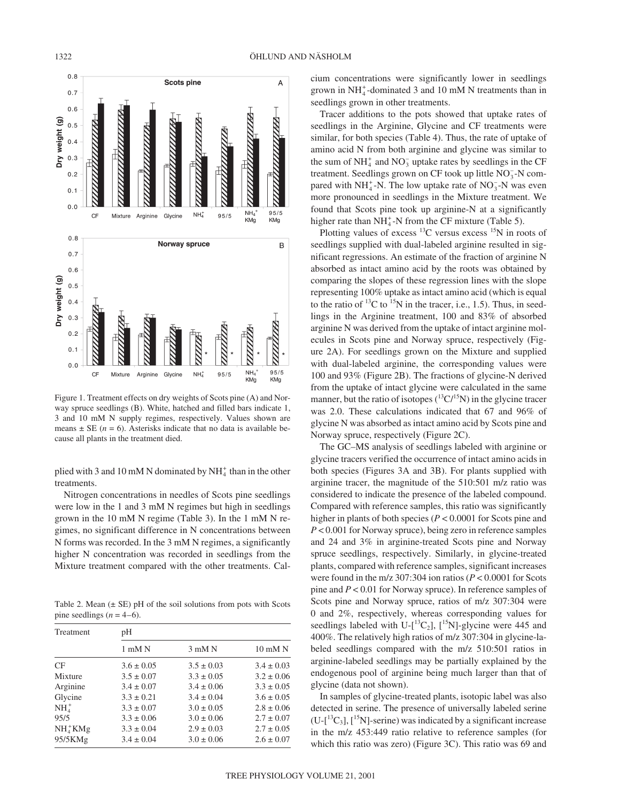

plied with 3 and 10 mM N dominated by  $NH_4^+$  than in the other treatments.

Nitrogen concentrations in needles of Scots pine seedlings were low in the 1 and 3 mM N regimes but high in seedlings grown in the 10 mM N regime (Table 3). In the 1 mM N regimes, no significant difference in N concentrations between N forms was recorded. In the 3 mM N regimes, a significantly higher N concentration was recorded in seedlings from the Mixture treatment compared with the other treatments. Cal-

Table 2. Mean  $(\pm \text{ SE})$  pH of the soil solutions from pots with Scots pine seedlings  $(n = 4-6)$ .

| Treatment | pН             |                |                   |  |  |
|-----------|----------------|----------------|-------------------|--|--|
|           | $1$ mM $N$     | $3$ mM $N$     | $10 \text{ mM N}$ |  |  |
| CF        | $3.6 \pm 0.05$ | $3.5 \pm 0.03$ | $3.4 \pm 0.03$    |  |  |
| Mixture   | $3.5 \pm 0.07$ | $3.3 \pm 0.05$ | $3.2 \pm 0.06$    |  |  |
| Arginine  | $3.4 \pm 0.07$ | $3.4 \pm 0.06$ | $3.3 \pm 0.05$    |  |  |
| Glycine   | $3.3 \pm 0.21$ | $3.4 \pm 0.04$ | $3.6 \pm 0.05$    |  |  |
| $NH4+$    | $3.3 \pm 0.07$ | $3.0 \pm 0.05$ | $2.8 \pm 0.06$    |  |  |
| 95/5      | $3.3 \pm 0.06$ | $3.0 \pm 0.06$ | $2.7 \pm 0.07$    |  |  |
| $NH4+KMg$ | $3.3 \pm 0.04$ | $2.9 \pm 0.03$ | $2.7 \pm 0.05$    |  |  |
| 95/5KMg   | $3.4 \pm 0.04$ | $3.0 \pm 0.06$ | $2.6 \pm 0.07$    |  |  |

1322 ÖHLUND AND NÄSHOLM

cium concentrations were significantly lower in seedlings grown in  $NH_4^+$ -dominated 3 and 10 mM N treatments than in seedlings grown in other treatments.

Tracer additions to the pots showed that uptake rates of seedlings in the Arginine, Glycine and CF treatments were similar, for both species (Table 4). Thus, the rate of uptake of amino acid N from both arginine and glycine was similar to the sum of  $NH_4^+$  and  $NO_3^-$  uptake rates by seedlings in the CF treatment. Seedlings grown on CF took up little NO<sub>3</sub>-N compared with  $NH_4^+$ -N. The low uptake rate of  $NO_3^-$ -N was even more pronounced in seedlings in the Mixture treatment. We found that Scots pine took up arginine-N at a significantly higher rate than  $NH_4^+$ -N from the CF mixture (Table 5).

Plotting values of excess  $^{13}$ C versus excess  $^{15}$ N in roots of seedlings supplied with dual-labeled arginine resulted in significant regressions. An estimate of the fraction of arginine N absorbed as intact amino acid by the roots was obtained by comparing the slopes of these regression lines with the slope representing 100% uptake as intact amino acid (which is equal to the ratio of  $^{13}$ C to  $^{15}$ N in the tracer, i.e., 1.5). Thus, in seedlings in the Arginine treatment, 100 and 83% of absorbed arginine N was derived from the uptake of intact arginine molecules in Scots pine and Norway spruce, respectively (Figure 2A). For seedlings grown on the Mixture and supplied with dual-labeled arginine, the corresponding values were 100 and 93% (Figure 2B). The fractions of glycine-N derived from the uptake of intact glycine were calculated in the same manner, but the ratio of isotopes  $(^{13}C/^{15}N)$  in the glycine tracer was 2.0. These calculations indicated that 67 and 96% of glycine N was absorbed as intact amino acid by Scots pine and Norway spruce, respectively (Figure 2C).

The GC–MS analysis of seedlings labeled with arginine or glycine tracers verified the occurrence of intact amino acids in both species (Figures 3A and 3B). For plants supplied with arginine tracer, the magnitude of the 510:501 m/z ratio was considered to indicate the presence of the labeled compound. Compared with reference samples, this ratio was significantly higher in plants of both species (*P* < 0.0001 for Scots pine and *P* < 0.001 for Norway spruce), being zero in reference samples and 24 and 3% in arginine-treated Scots pine and Norway spruce seedlings, respectively. Similarly, in glycine-treated plants, compared with reference samples, significant increases were found in the m/z 307:304 ion ratios (*P* < 0.0001 for Scots pine and *P* < 0.01 for Norway spruce). In reference samples of Scots pine and Norway spruce, ratios of m/z 307:304 were 0 and 2%, respectively, whereas corresponding values for seedlings labeled with U- $\left[^{13}C_2\right]$ ,  $\left[^{15}N\right]$ -glycine were 445 and 400%. The relatively high ratios of m/z 307:304 in glycine-labeled seedlings compared with the m/z 510:501 ratios in arginine-labeled seedlings may be partially explained by the endogenous pool of arginine being much larger than that of glycine (data not shown).

In samples of glycine-treated plants, isotopic label was also detected in serine. The presence of universally labeled serine  $(U-[$ <sup>13</sup>C<sub>3</sub>],  $[$ <sup>15</sup>N  $]$ -serine) was indicated by a significant increase in the m/z 453:449 ratio relative to reference samples (for which this ratio was zero) (Figure 3C). This ratio was 69 and

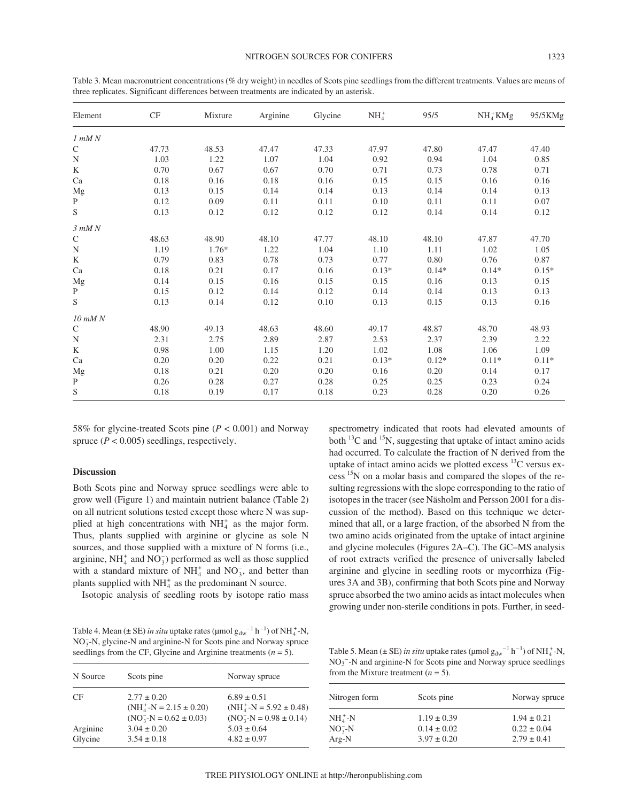| Element       | CF    | Mixture | Arginine | Glycine | $NH4+$  | 95/5    | $NH4+KMg$ | 95/5KMg |
|---------------|-------|---------|----------|---------|---------|---------|-----------|---------|
| $1$ mM $N$    |       |         |          |         |         |         |           |         |
| ${\bf C}$     | 47.73 | 48.53   | 47.47    | 47.33   | 47.97   | 47.80   | 47.47     | 47.40   |
| $_{\rm N}$    | 1.03  | 1.22    | 1.07     | 1.04    | 0.92    | 0.94    | 1.04      | 0.85    |
| K             | 0.70  | 0.67    | 0.67     | 0.70    | 0.71    | 0.73    | 0.78      | 0.71    |
| Ca            | 0.18  | 0.16    | 0.18     | 0.16    | 0.15    | 0.15    | 0.16      | 0.16    |
| Mg            | 0.13  | 0.15    | 0.14     | 0.14    | 0.13    | 0.14    | 0.14      | 0.13    |
| $\, {\bf P}$  | 0.12  | 0.09    | 0.11     | 0.11    | 0.10    | 0.11    | 0.11      | 0.07    |
| ${\mathbf S}$ | 0.13  | 0.12    | 0.12     | 0.12    | 0.12    | 0.14    | 0.14      | 0.12    |
| $3$ m $MN$    |       |         |          |         |         |         |           |         |
| $\mathsf{C}$  | 48.63 | 48.90   | 48.10    | 47.77   | 48.10   | 48.10   | 47.87     | 47.70   |
| ${\bf N}$     | 1.19  | $1.76*$ | 1.22     | 1.04    | 1.10    | 1.11    | 1.02      | 1.05    |
| K             | 0.79  | 0.83    | 0.78     | 0.73    | 0.77    | 0.80    | 0.76      | 0.87    |
| Ca            | 0.18  | 0.21    | 0.17     | 0.16    | $0.13*$ | $0.14*$ | $0.14*$   | $0.15*$ |
| $_{\rm Mg}$   | 0.14  | 0.15    | 0.16     | 0.15    | 0.15    | 0.16    | 0.13      | 0.15    |
| $\mathbf{P}$  | 0.15  | 0.12    | 0.14     | 0.12    | 0.14    | 0.14    | 0.13      | 0.13    |
| S             | 0.13  | 0.14    | 0.12     | 0.10    | 0.13    | 0.15    | 0.13      | 0.16    |
| $10$ mM $N$   |       |         |          |         |         |         |           |         |
| $\mathsf{C}$  | 48.90 | 49.13   | 48.63    | 48.60   | 49.17   | 48.87   | 48.70     | 48.93   |
| $_{\rm N}$    | 2.31  | 2.75    | 2.89     | 2.87    | 2.53    | 2.37    | 2.39      | 2.22    |
| K             | 0.98  | 1.00    | 1.15     | 1.20    | 1.02    | 1.08    | 1.06      | 1.09    |
| Ca            | 0.20  | 0.20    | 0.22     | 0.21    | $0.13*$ | $0.12*$ | $0.11*$   | $0.11*$ |
| Mg            | 0.18  | 0.21    | 0.20     | 0.20    | 0.16    | 0.20    | 0.14      | 0.17    |
| P             | 0.26  | 0.28    | 0.27     | 0.28    | 0.25    | 0.25    | 0.23      | 0.24    |
| S             | 0.18  | 0.19    | 0.17     | 0.18    | 0.23    | 0.28    | 0.20      | 0.26    |

Table 3. Mean macronutrient concentrations (% dry weight) in needles of Scots pine seedlings from the different treatments. Values are means of three replicates. Significant differences between treatments are indicated by an asterisk.

58% for glycine-treated Scots pine (*P* < 0.001) and Norway spruce  $(P < 0.005)$  seedlings, respectively.

## **Discussion**

Both Scots pine and Norway spruce seedlings were able to grow well (Figure 1) and maintain nutrient balance (Table 2) on all nutrient solutions tested except those where N was supplied at high concentrations with  $NH<sub>4</sub><sup>+</sup>$  as the major form. Thus, plants supplied with arginine or glycine as sole N sources, and those supplied with a mixture of N forms (i.e., arginine,  $NH_4^+$  and  $NO_3^-$ ) performed as well as those supplied with a standard mixture of  $NH_4^+$  and  $NO_3^-$ , and better than plants supplied with  $NH<sub>4</sub><sup>+</sup>$  as the predominant N source.

Isotopic analysis of seedling roots by isotope ratio mass

Table 4. Mean ( $\pm$  SE) *in situ* uptake rates ( $\mu$ mol  $g_{dw}^{-1}$  h<sup>-1</sup>) of NH<sub>4</sub>-N, NO<sub>3</sub>-N, glycine-N and arginine-N for Scots pine and Norway spruce seedlings from the CF, Glycine and Arginine treatments  $(n = 5)$ .

| N Source            | Scots pine                                                                     | Norway spruce                                                              |
|---------------------|--------------------------------------------------------------------------------|----------------------------------------------------------------------------|
| <b>CF</b>           | $2.77 \pm 0.20$<br>$(NH_4^+ - N = 2.15 \pm 0.20)$<br>$(NO3-N = 0.62 \pm 0.03)$ | $6.89 \pm 0.51$<br>$(NH4+-N = 5.92 \pm 0.48)$<br>$(NO3-N = 0.98 \pm 0.14)$ |
| Arginine<br>Glycine | $3.04 \pm 0.20$<br>$3.54 \pm 0.18$                                             | $5.03 \pm 0.64$<br>$4.82 \pm 0.97$                                         |

spectrometry indicated that roots had elevated amounts of both <sup>13</sup>C and <sup>15</sup>N, suggesting that uptake of intact amino acids had occurred. To calculate the fraction of N derived from the uptake of intact amino acids we plotted excess 13C versus excess 15N on a molar basis and compared the slopes of the resulting regressions with the slope corresponding to the ratio of isotopes in the tracer (see Näsholm and Persson 2001 for a discussion of the method). Based on this technique we determined that all, or a large fraction, of the absorbed N from the two amino acids originated from the uptake of intact arginine and glycine molecules (Figures 2A–C). The GC–MS analysis of root extracts verified the presence of universally labeled arginine and glycine in seedling roots or mycorrhiza (Figures 3A and 3B), confirming that both Scots pine and Norway spruce absorbed the two amino acids as intact molecules when growing under non-sterile conditions in pots. Further, in seed-

Table 5. Mean ( $\pm$  SE) *in situ* uptake rates ( $\mu$ mol  $g_{dw}^{-1}$  h<sup>-1</sup>) of NH<sub>4</sub>-N, NO3 – -N and arginine-N for Scots pine and Norway spruce seedlings from the Mixture treatment  $(n = 5)$ .

| Nitrogen form | Scots pine      | Norway spruce   |  |
|---------------|-----------------|-----------------|--|
| $NH4+-N$      | $1.19 \pm 0.39$ | $1.94 \pm 0.21$ |  |
| $NO3-N$       | $0.14 \pm 0.02$ | $0.22 \pm 0.04$ |  |
| $Arg-N$       | $3.97 \pm 0.20$ | $2.79 \pm 0.41$ |  |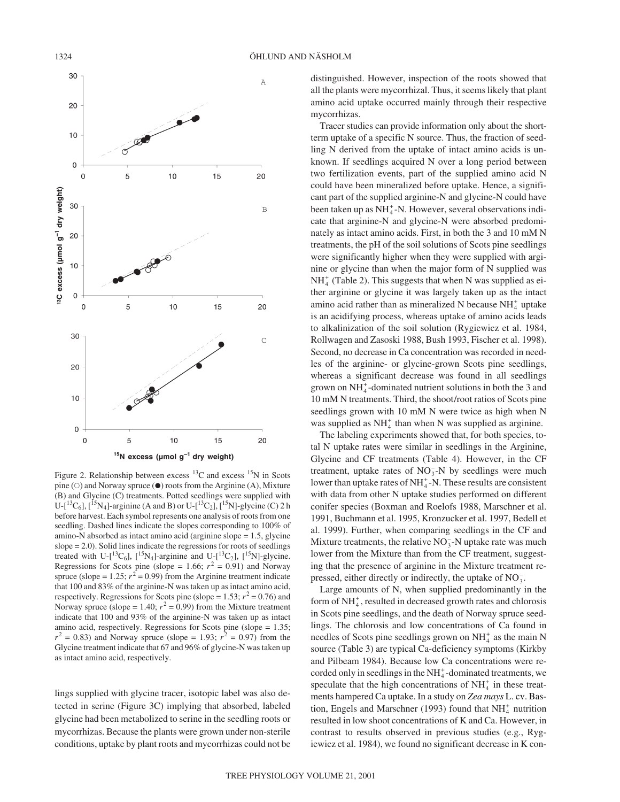

Figure 2. Relationship between excess  $^{13}$ C and excess  $^{15}$ N in Scots pine  $(\circ)$  and Norway spruce  $(\bullet)$  roots from the Arginine (A), Mixture (B) and Glycine (C) treatments. Potted seedlings were supplied with U-[ ${}^{13}C_6$ ], [ ${}^{15}N_4$ ]-arginine (A and B) or U-[ ${}^{13}C_2$ ], [ ${}^{15}N$ ]-glycine (C) 2 h before harvest. Each symbol represents one analysis of roots from one seedling. Dashed lines indicate the slopes corresponding to 100% of amino-N absorbed as intact amino acid (arginine slope = 1.5, glycine slope = 2.0). Solid lines indicate the regressions for roots of seedlings treated with U-[ ${}^{13}C_6$ ], [ ${}^{15}N_4$ ]-arginine and U-[ ${}^{13}C_2$ ], [ ${}^{15}N$ ]-glycine. Regressions for Scots pine (slope = 1.66;  $r^2 = 0.91$ ) and Norway spruce (slope =  $1.25$ ;  $r^2 = 0.99$ ) from the Arginine treatment indicate that 100 and 83% of the arginine-N was taken up as intact amino acid, respectively. Regressions for Scots pine (slope =  $1.53$ ;  $r^2 = 0.76$ ) and Norway spruce (slope = 1.40;  $r^2$  = 0.99) from the Mixture treatment indicate that 100 and 93% of the arginine-N was taken up as intact amino acid, respectively. Regressions for Scots pine (slope = 1.35;  $r^2 = 0.83$ ) and Norway spruce (slope = 1.93;  $r^2 = 0.97$ ) from the Glycine treatment indicate that 67 and 96% of glycine-N was taken up as intact amino acid, respectively.

lings supplied with glycine tracer, isotopic label was also detected in serine (Figure 3C) implying that absorbed, labeled glycine had been metabolized to serine in the seedling roots or mycorrhizas. Because the plants were grown under non-sterile conditions, uptake by plant roots and mycorrhizas could not be

distinguished. However, inspection of the roots showed that all the plants were mycorrhizal. Thus, it seems likely that plant amino acid uptake occurred mainly through their respective mycorrhizas.

Tracer studies can provide information only about the shortterm uptake of a specific N source. Thus, the fraction of seedling N derived from the uptake of intact amino acids is unknown. If seedlings acquired N over a long period between two fertilization events, part of the supplied amino acid N could have been mineralized before uptake. Hence, a significant part of the supplied arginine-N and glycine-N could have been taken up as  $NH_4^+$ -N. However, several observations indicate that arginine-N and glycine-N were absorbed predominately as intact amino acids. First, in both the 3 and 10 mM N treatments, the pH of the soil solutions of Scots pine seedlings were significantly higher when they were supplied with arginine or glycine than when the major form of N supplied was  $NH<sub>4</sub><sup>+</sup>$  (Table 2). This suggests that when N was supplied as either arginine or glycine it was largely taken up as the intact amino acid rather than as mineralized N because  $NH<sub>4</sub><sup>+</sup>$  uptake is an acidifying process, whereas uptake of amino acids leads to alkalinization of the soil solution (Rygiewicz et al. 1984, Rollwagen and Zasoski 1988, Bush 1993, Fischer et al. 1998). Second, no decrease in Ca concentration was recorded in needles of the arginine- or glycine-grown Scots pine seedlings, whereas a significant decrease was found in all seedlings grown on  $NH_4^+$ -dominated nutrient solutions in both the 3 and 10 mM N treatments. Third, the shoot/root ratios of Scots pine seedlings grown with 10 mM N were twice as high when N was supplied as  $NH<sub>4</sub><sup>+</sup>$  than when N was supplied as arginine.

The labeling experiments showed that, for both species, total N uptake rates were similar in seedlings in the Arginine, Glycine and CF treatments (Table 4). However, in the CF treatment, uptake rates of  $NO_3^-$ -N by seedlings were much lower than uptake rates of  $NH_4^+$ -N. These results are consistent with data from other N uptake studies performed on different conifer species (Boxman and Roelofs 1988, Marschner et al. 1991, Buchmann et al. 1995, Kronzucker et al. 1997, Bedell et al. 1999). Further, when comparing seedlings in the CF and Mixture treatments, the relative  $NO_3^-$ -N uptake rate was much lower from the Mixture than from the CF treatment, suggesting that the presence of arginine in the Mixture treatment repressed, either directly or indirectly, the uptake of  $NO_3^-$ .

Large amounts of N, when supplied predominantly in the form of NH<sup>+</sup><sub>4</sub>, resulted in decreased growth rates and chlorosis in Scots pine seedlings, and the death of Norway spruce seedlings. The chlorosis and low concentrations of Ca found in needles of Scots pine seedlings grown on  $NH<sub>4</sub><sup>+</sup>$  as the main N source (Table 3) are typical Ca-deficiency symptoms (Kirkby and Pilbeam 1984). Because low Ca concentrations were recorded only in seedlings in the  $NH<sub>4</sub><sup>+</sup>$ -dominated treatments, we speculate that the high concentrations of  $NH<sub>4</sub><sup>+</sup>$  in these treatments hampered Ca uptake. In a study on *Zea mays* L. cv. Bastion, Engels and Marschner (1993) found that  $NH<sub>4</sub><sup>+</sup>$  nutrition resulted in low shoot concentrations of K and Ca. However, in contrast to results observed in previous studies (e.g., Rygiewicz et al. 1984), we found no significant decrease in K con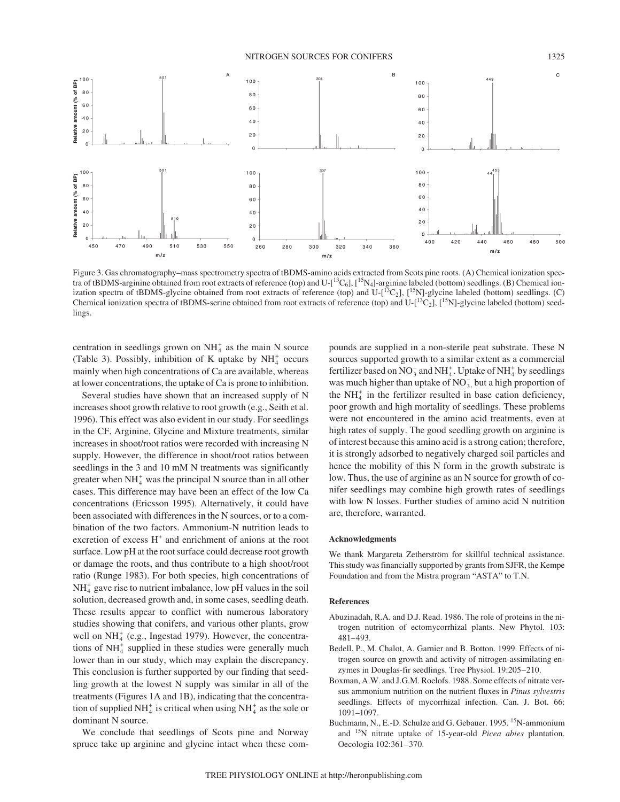NITROGEN SOURCES FOR CONIFERS 1325



Figure 3. Gas chromatography–mass spectrometry spectra of tBDMS-amino acids extracted from Scots pine roots. (A) Chemical ionization spectra of tBDMS-arginine obtained from root extracts of reference (top) and  $U-[$ <sup>13</sup>C<sub>6</sub>],  $[$ <sup>15</sup>N<sub>4</sub>]-arginine labeled (bottom) seedlings. (B) Chemical ionization spectra of tBDMS-glycine obtained from root extracts of reference (top) and U- $[$ <sup>13</sup>C<sub>2</sub>],  $[$ <sup>15</sup>N]-glycine labeled (bottom) seedlings. (C) Chemical ionization spectra of tBDMS-serine obtained from root extracts of reference (top) and  $U-[\frac{13}{2}C_2]$ ,  $[\frac{15}{N}]$ -glycine labeled (bottom) seedlings.

300

320

 $m/s$ 

340

360

 $\overline{0}$ 

260

280

centration in seedlings grown on  $NH<sub>4</sub><sup>+</sup>$  as the main N source (Table 3). Possibly, inhibition of K uptake by  $NH<sub>4</sub><sup>+</sup>$  occurs mainly when high concentrations of Ca are available, whereas at lower concentrations, the uptake of Ca is prone to inhibition.

530

510

550

490

 $m/s$ 

amount (% of

Relative

amount (% of BP)

Relative

450

Several studies have shown that an increased supply of N increases shoot growth relative to root growth (e.g., Seith et al. 1996). This effect was also evident in our study. For seedlings in the CF, Arginine, Glycine and Mixture treatments, similar increases in shoot/root ratios were recorded with increasing N supply. However, the difference in shoot/root ratios between seedlings in the 3 and 10 mM N treatments was significantly greater when  $NH<sub>4</sub><sup>+</sup>$  was the principal N source than in all other cases. This difference may have been an effect of the low Ca concentrations (Ericsson 1995). Alternatively, it could have been associated with differences in the N sources, or to a combination of the two factors. Ammonium-N nutrition leads to excretion of excess  $H^+$  and enrichment of anions at the root surface. Low pH at the root surface could decrease root growth or damage the roots, and thus contribute to a high shoot/root ratio (Runge 1983). For both species, high concentrations of  $NH<sub>4</sub><sup>+</sup>$  gave rise to nutrient imbalance, low pH values in the soil solution, decreased growth and, in some cases, seedling death. These results appear to conflict with numerous laboratory studies showing that conifers, and various other plants, grow well on  $NH<sub>4</sub><sup>+</sup>$  (e.g., Ingestad 1979). However, the concentrations of NH<sub>4</sub> supplied in these studies were generally much lower than in our study, which may explain the discrepancy. This conclusion is further supported by our finding that seedling growth at the lowest N supply was similar in all of the treatments (Figures 1A and 1B), indicating that the concentration of supplied NH $_4^+$  is critical when using NH $_4^+$  as the sole or dominant N source.

We conclude that seedlings of Scots pine and Norway spruce take up arginine and glycine intact when these compounds are supplied in a non-sterile peat substrate. These N sources supported growth to a similar extent as a commercial fertilizer based on  $NO_3^-$  and  $NH_4^+$ . Uptake of  $NH_4^+$  by seedlings was much higher than uptake of  $NO_3^-$ , but a high proportion of the  $NH<sub>4</sub><sup>+</sup>$  in the fertilizer resulted in base cation deficiency, poor growth and high mortality of seedlings. These problems were not encountered in the amino acid treatments, even at high rates of supply. The good seedling growth on arginine is of interest because this amino acid is a strong cation; therefore, it is strongly adsorbed to negatively charged soil particles and hence the mobility of this N form in the growth substrate is low. Thus, the use of arginine as an N source for growth of conifer seedlings may combine high growth rates of seedlings with low N losses. Further studies of amino acid N nutrition are, therefore, warranted.

400

420

440

 $m/z$ 

460

480

500

#### **Acknowledgments**

We thank Margareta Zetherström for skillful technical assistance. This study was financially supported by grants from SJFR, the Kempe Foundation and from the Mistra program "ASTA" to T.N.

# **References**

- Abuzinadah, R.A. and D.J. Read. 1986. The role of proteins in the nitrogen nutrition of ectomycorrhizal plants. New Phytol. 103: 481–493.
- Bedell, P., M. Chalot, A. Garnier and B. Botton. 1999. Effects of nitrogen source on growth and activity of nitrogen-assimilating enzymes in Douglas-fir seedlings. Tree Physiol. 19:205–210.
- Boxman, A.W. and J.G.M. Roelofs. 1988. Some effects of nitrate versus ammonium nutrition on the nutrient fluxes in *Pinus sylvestris* seedlings. Effects of mycorrhizal infection. Can. J. Bot. 66: 1091–1097.
- Buchmann, N., E.-D. Schulze and G. Gebauer. 1995. <sup>15</sup>N-ammonium and 15N nitrate uptake of 15-year-old *Picea abies* plantation. Oecologia 102:361–370.